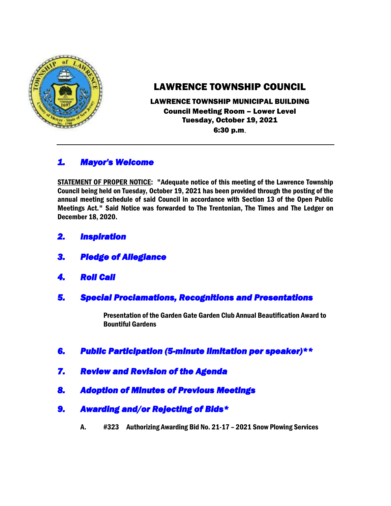

# LAWRENCE TOWNSHIP COUNCIL

LAWRENCE TOWNSHIP MUNICIPAL BUILDING Council Meeting Room – Lower Level Tuesday, October 19, 2021 6:30 p.m.

# *1. Mayor's Welcome*

STATEMENT OF PROPER NOTICE: "Adequate notice of this meeting of the Lawrence Township Council being held on Tuesday, October 19, 2021 has been provided through the posting of the annual meeting schedule of said Council in accordance with Section 13 of the Open Public Meetings Act." Said Notice was forwarded to The Trentonian, The Times and The Ledger on December 18, 2020.

- *2. Inspiration*
- *3. Pledge of Allegiance*
- *4. Roll Call*
- *5. Special Proclamations, Recognitions and Presentations*

Presentation of the Garden Gate Garden Club Annual Beautification Award to Bountiful Gardens

- *6. Public Participation (5-minute limitation per speaker)\*\**
- *7. Review and Revision of the Agenda*
- *8. Adoption of Minutes of Previous Meetings*
- *9. Awarding and/or Rejecting of Bids\** 
	- A. #323 Authorizing Awarding Bid No. 21-17 2021 Snow Plowing Services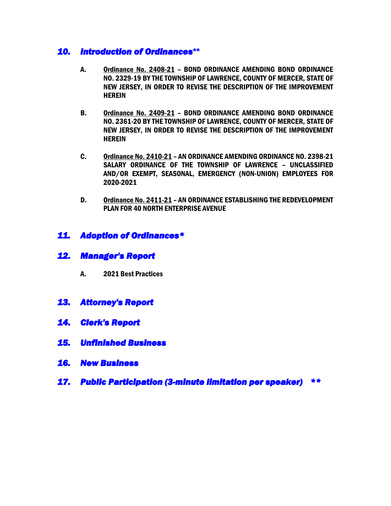#### *10. Introduction of Ordinances***\*\***

- A. Ordinance No. 2408-21 BOND ORDINANCE AMENDING BOND ORDINANCE NO. 2329-19 BY THE TOWNSHIP OF LAWRENCE, COUNTY OF MERCER, STATE OF NEW JERSEY, IN ORDER TO REVISE THE DESCRIPTION OF THE IMPROVEMENT **HEREIN**
- B. Ordinance No. 2409-21 BOND ORDINANCE AMENDING BOND ORDINANCE NO. 2361-20 BY THE TOWNSHIP OF LAWRENCE, COUNTY OF MERCER, STATE OF NEW JERSEY, IN ORDER TO REVISE THE DESCRIPTION OF THE IMPROVEMENT **HEREIN**
- C. Ordinance No. 2410-21 AN ORDINANCE AMENDING ORDINANCE NO. 2398-21 SALARY ORDINANCE OF THE TOWNSHIP OF LAWRENCE – UNCLASSIFIED AND/OR EXEMPT, SEASONAL, EMERGENCY (NON-UNION) EMPLOYEES FOR 2020-2021
- D. Ordinance No. 2411-21 AN ORDINANCE ESTABLISHING THE REDEVELOPMENT PLAN FOR 40 NORTH ENTERPRISE AVENUE

### *11. Adoption of Ordinances\**

- *12. Manager's Report* 
	- A. 2021 Best Practices
- *13. Attorney's Report*
- *14. Clerk's Report*
- *15. Unfinished Business*
- *16. New Business*
- *17. Public Participation (3-minute limitation per speaker) \*\**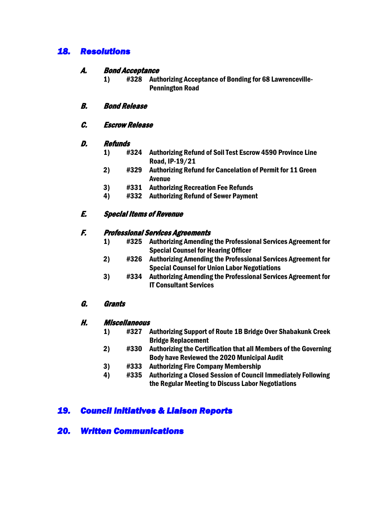# *18. Resolutions*

#### A. Bond Acceptance

1) #328 Authorizing Acceptance of Bonding for 68 Lawrenceville-Pennington Road

#### B. Bond Release

C. Escrow Release

#### D. Refunds

- 1) #324 Authorizing Refund of Soil Test Escrow 4590 Province Line Road, IP-19/21
- 2) #329 Authorizing Refund for Cancelation of Permit for 11 Green Avenue
- 3) #331 Authorizing Recreation Fee Refunds
- 4) #332 Authorizing Refund of Sewer Payment

## E. Special Items of Revenue

#### F. Professional Services Agreements

- 1) #325 Authorizing Amending the Professional Services Agreement for Special Counsel for Hearing Officer
- 2) #326 Authorizing Amending the Professional Services Agreement for Special Counsel for Union Labor Negotiations
- 3) #334 Authorizing Amending the Professional Services Agreement for IT Consultant Services

### G. Grants

#### H. Miscellaneous

- 1) #327 Authorizing Support of Route 1B Bridge Over Shabakunk Creek Bridge Replacement
- 2) #330 Authorizing the Certification that all Members of the Governing Body have Reviewed the 2020 Municipal Audit
- 3) #333 Authorizing Fire Company Membership
- 4) #335 Authorizing a Closed Session of Council Immediately Following the Regular Meeting to Discuss Labor Negotiations

# *19. Council Initiatives & Liaison Reports*

## *20. Written Communications*